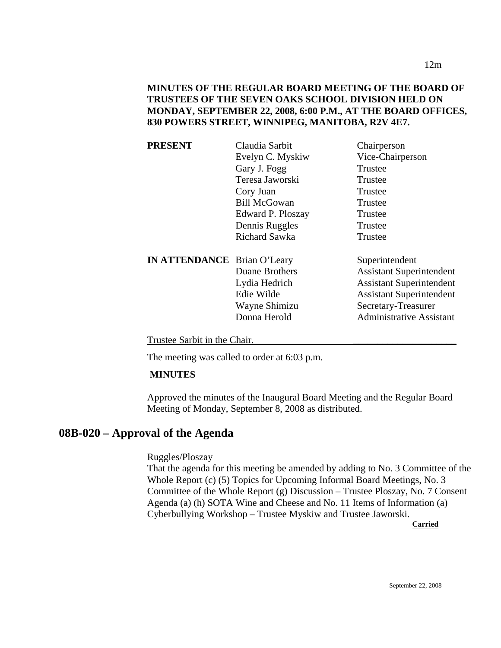| PRESENT                            | Claudia Sarbit      | Chairperson                     |
|------------------------------------|---------------------|---------------------------------|
|                                    | Evelyn C. Myskiw    | Vice-Chairperson                |
|                                    | Gary J. Fogg        | Trustee                         |
|                                    | Teresa Jaworski     | Trustee                         |
|                                    | Cory Juan           | Trustee                         |
|                                    | <b>Bill McGowan</b> | Trustee                         |
|                                    | Edward P. Ploszay   | Trustee                         |
|                                    | Dennis Ruggles      | Trustee                         |
|                                    | Richard Sawka       | Trustee                         |
| <b>IN ATTENDANCE</b> Brian O'Leary |                     | Superintendent                  |
|                                    | Duane Brothers      | <b>Assistant Superintendent</b> |
|                                    | Lydia Hedrich       | <b>Assistant Superintendent</b> |
|                                    | Edie Wilde          | <b>Assistant Superintendent</b> |
|                                    | Wayne Shimizu       | Secretary-Treasurer             |
|                                    | Donna Herold        | <b>Administrative Assistant</b> |
|                                    |                     |                                 |

Trustee Sarbit in the Chair.

The meeting was called to order at 6:03 p.m.

#### **MINUTES**

Approved the minutes of the Inaugural Board Meeting and the Regular Board Meeting of Monday, September 8, 2008 as distributed.

# **08B-020 – Approval of the Agenda**

Ruggles/Ploszay

That the agenda for this meeting be amended by adding to No. 3 Committee of the Whole Report (c) (5) Topics for Upcoming Informal Board Meetings, No. 3 Committee of the Whole Report (g) Discussion – Trustee Ploszay, No. 7 Consent Agenda (a) (h) SOTA Wine and Cheese and No. 11 Items of Information (a) Cyberbullying Workshop – Trustee Myskiw and Trustee Jaworski.

**Carried**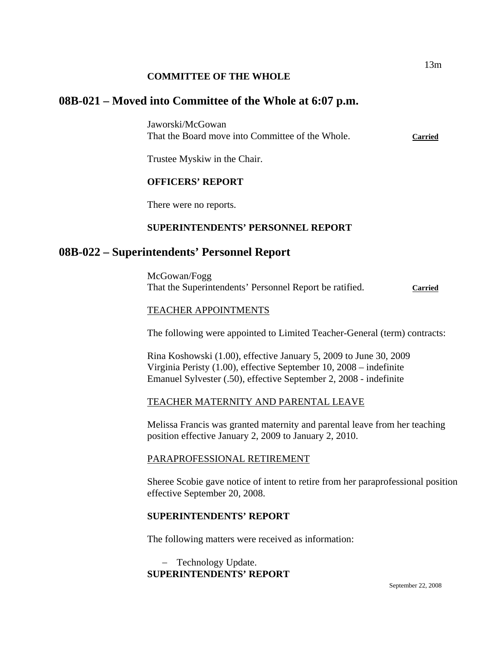#### **COMMITTEE OF THE WHOLE**

# **08B-021 – Moved into Committee of the Whole at 6:07 p.m.**

Jaworski/McGowan That the Board move into Committee of the Whole. **Carried**

Trustee Myskiw in the Chair.

# **OFFICERS' REPORT**

There were no reports.

## **SUPERINTENDENTS' PERSONNEL REPORT**

# **08B-022 – Superintendents' Personnel Report**

McGowan/Fogg That the Superintendents' Personnel Report be ratified. **Carried**

#### TEACHER APPOINTMENTS

The following were appointed to Limited Teacher-General (term) contracts:

Rina Koshowski (1.00), effective January 5, 2009 to June 30, 2009 Virginia Peristy (1.00), effective September 10, 2008 – indefinite Emanuel Sylvester (.50), effective September 2, 2008 - indefinite

## TEACHER MATERNITY AND PARENTAL LEAVE

Melissa Francis was granted maternity and parental leave from her teaching position effective January 2, 2009 to January 2, 2010.

#### PARAPROFESSIONAL RETIREMENT

Sheree Scobie gave notice of intent to retire from her paraprofessional position effective September 20, 2008.

#### **SUPERINTENDENTS' REPORT**

The following matters were received as information:

− Technology Update. **SUPERINTENDENTS' REPORT**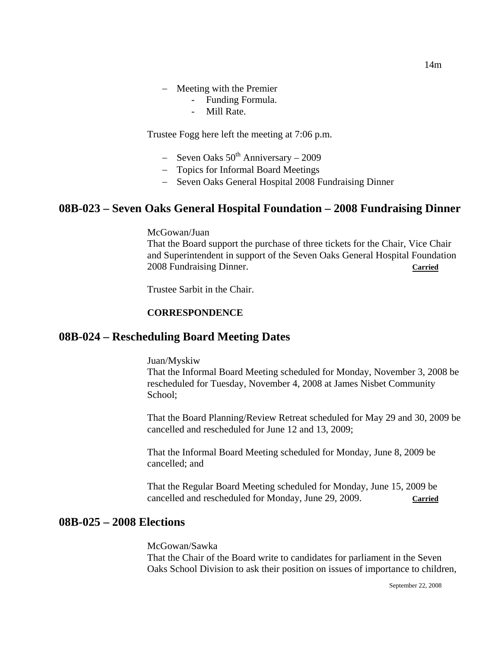- Funding Formula.
- Mill Rate.

Trustee Fogg here left the meeting at 7:06 p.m.

- − Seven Oaks 50th Anniversary 2009
- − Topics for Informal Board Meetings
- − Seven Oaks General Hospital 2008 Fundraising Dinner

# **08B-023 – Seven Oaks General Hospital Foundation – 2008 Fundraising Dinner**

McGowan/Juan

That the Board support the purchase of three tickets for the Chair, Vice Chair and Superintendent in support of the Seven Oaks General Hospital Foundation 2008 Fundraising Dinner. **Carried**

Trustee Sarbit in the Chair.

#### **CORRESPONDENCE**

## **08B-024 – Rescheduling Board Meeting Dates**

Juan/Myskiw

That the Informal Board Meeting scheduled for Monday, November 3, 2008 be rescheduled for Tuesday, November 4, 2008 at James Nisbet Community School;

That the Board Planning/Review Retreat scheduled for May 29 and 30, 2009 be cancelled and rescheduled for June 12 and 13, 2009;

That the Informal Board Meeting scheduled for Monday, June 8, 2009 be cancelled; and

That the Regular Board Meeting scheduled for Monday, June 15, 2009 be cancelled and rescheduled for Monday, June 29, 2009. **Carried**

#### **08B-025 – 2008 Elections**

McGowan/Sawka

That the Chair of the Board write to candidates for parliament in the Seven Oaks School Division to ask their position on issues of importance to children,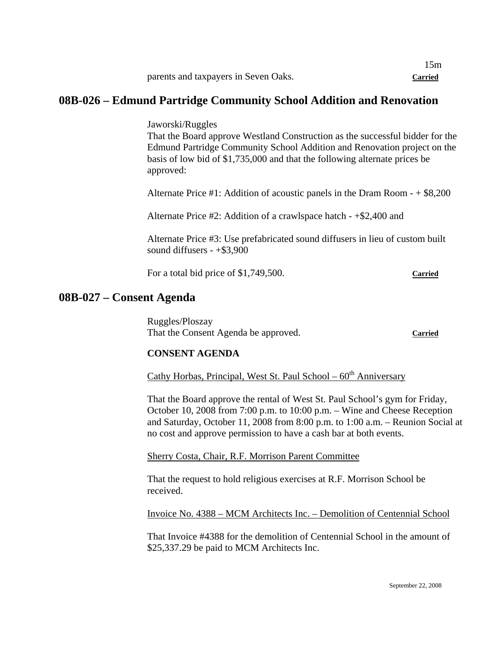|                                      | l 5m    |
|--------------------------------------|---------|
| parents and taxpayers in Seven Oaks. | Carried |

# **08B-026 – Edmund Partridge Community School Addition and Renovation**

Jaworski/Ruggles

That the Board approve Westland Construction as the successful bidder for the Edmund Partridge Community School Addition and Renovation project on the basis of low bid of \$1,735,000 and that the following alternate prices be approved:

Alternate Price #1: Addition of acoustic panels in the Dram Room - + \$8,200

Alternate Price #2: Addition of a crawlspace hatch - +\$2,400 and

Alternate Price #3: Use prefabricated sound diffusers in lieu of custom built sound diffusers - +\$3,900

For a total bid price of \$1,749,500. Carried

**08B-027 – Consent Agenda** 

Ruggles/Ploszay That the Consent Agenda be approved. **Carried**

#### **CONSENT AGENDA**

Cathy Horbas, Principal, West St. Paul School –  $60<sup>th</sup>$  Anniversary

That the Board approve the rental of West St. Paul School's gym for Friday, October 10, 2008 from 7:00 p.m. to 10:00 p.m. – Wine and Cheese Reception and Saturday, October 11, 2008 from 8:00 p.m. to 1:00 a.m. – Reunion Social at no cost and approve permission to have a cash bar at both events.

Sherry Costa, Chair, R.F. Morrison Parent Committee

That the request to hold religious exercises at R.F. Morrison School be received.

Invoice No. 4388 – MCM Architects Inc. – Demolition of Centennial School

That Invoice #4388 for the demolition of Centennial School in the amount of \$25,337.29 be paid to MCM Architects Inc.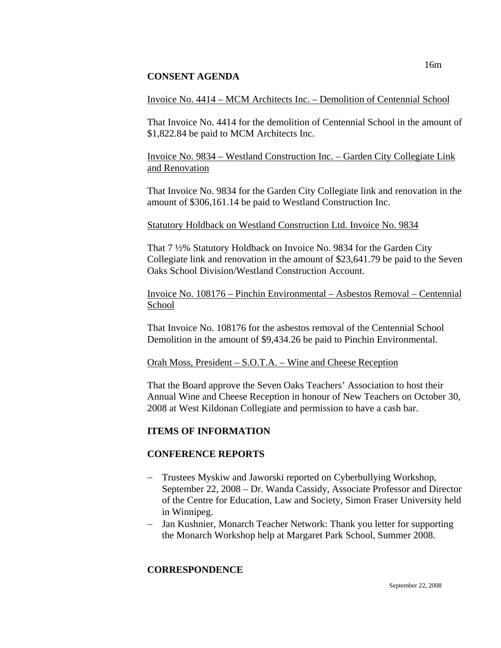#### **CONSENT AGENDA**

## Invoice No. 4414 – MCM Architects Inc. – Demolition of Centennial School

That Invoice No. 4414 for the demolition of Centennial School in the amount of \$1,822.84 be paid to MCM Architects Inc.

Invoice No. 9834 – Westland Construction Inc. – Garden City Collegiate Link and Renovation

That Invoice No. 9834 for the Garden City Collegiate link and renovation in the amount of \$306,161.14 be paid to Westland Construction Inc.

#### Statutory Holdback on Westland Construction Ltd. Invoice No. 9834

That 7 ½% Statutory Holdback on Invoice No. 9834 for the Garden City Collegiate link and renovation in the amount of \$23,641.79 be paid to the Seven Oaks School Division/Westland Construction Account.

Invoice No. 108176 – Pinchin Environmental – Asbestos Removal – Centennial School

That Invoice No. 108176 for the asbestos removal of the Centennial School Demolition in the amount of \$9,434.26 be paid to Pinchin Environmental.

#### Orah Moss, President – S.O.T.A. – Wine and Cheese Reception

That the Board approve the Seven Oaks Teachers' Association to host their Annual Wine and Cheese Reception in honour of New Teachers on October 30, 2008 at West Kildonan Collegiate and permission to have a cash bar.

## **ITEMS OF INFORMATION**

## **CONFERENCE REPORTS**

- − Trustees Myskiw and Jaworski reported on Cyberbullying Workshop, September 22, 2008 – Dr. Wanda Cassidy, Associate Professor and Director of the Centre for Education, Law and Society, Simon Fraser University held in Winnipeg.
- − Jan Kushnier, Monarch Teacher Network: Thank you letter for supporting the Monarch Workshop help at Margaret Park School, Summer 2008.

## **CORRESPONDENCE**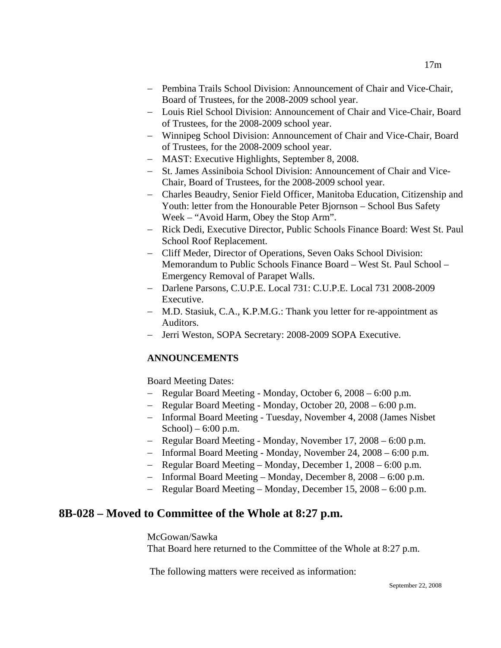- − Pembina Trails School Division: Announcement of Chair and Vice-Chair, Board of Trustees, for the 2008-2009 school year.
- − Louis Riel School Division: Announcement of Chair and Vice-Chair, Board of Trustees, for the 2008-2009 school year.
- − Winnipeg School Division: Announcement of Chair and Vice-Chair, Board of Trustees, for the 2008-2009 school year.
- − MAST: Executive Highlights, September 8, 2008.
- − St. James Assiniboia School Division: Announcement of Chair and Vice-Chair, Board of Trustees, for the 2008-2009 school year.
- − Charles Beaudry, Senior Field Officer, Manitoba Education, Citizenship and Youth: letter from the Honourable Peter Bjornson – School Bus Safety Week – "Avoid Harm, Obey the Stop Arm".
- − Rick Dedi, Executive Director, Public Schools Finance Board: West St. Paul School Roof Replacement.
- − Cliff Meder, Director of Operations, Seven Oaks School Division: Memorandum to Public Schools Finance Board – West St. Paul School – Emergency Removal of Parapet Walls.
- − Darlene Parsons, C.U.P.E. Local 731: C.U.P.E. Local 731 2008-2009 Executive.
- − M.D. Stasiuk, C.A., K.P.M.G.: Thank you letter for re-appointment as Auditors.
- − Jerri Weston, SOPA Secretary: 2008-2009 SOPA Executive.

## **ANNOUNCEMENTS**

Board Meeting Dates:

- − Regular Board Meeting Monday, October 6, 2008 6:00 p.m.
- − Regular Board Meeting Monday, October 20, 2008 6:00 p.m.
- − Informal Board Meeting Tuesday, November 4, 2008 (James Nisbet School $) - 6:00$  p.m.
- − Regular Board Meeting Monday, November 17, 2008 6:00 p.m.
- − Informal Board Meeting Monday, November 24, 2008 6:00 p.m.
- − Regular Board Meeting Monday, December 1, 2008 6:00 p.m.
- − Informal Board Meeting Monday, December 8, 2008 6:00 p.m.
- − Regular Board Meeting Monday, December 15, 2008 6:00 p.m.

# **8B-028 – Moved to Committee of the Whole at 8:27 p.m.**

McGowan/Sawka

That Board here returned to the Committee of the Whole at 8:27 p.m.

The following matters were received as information: